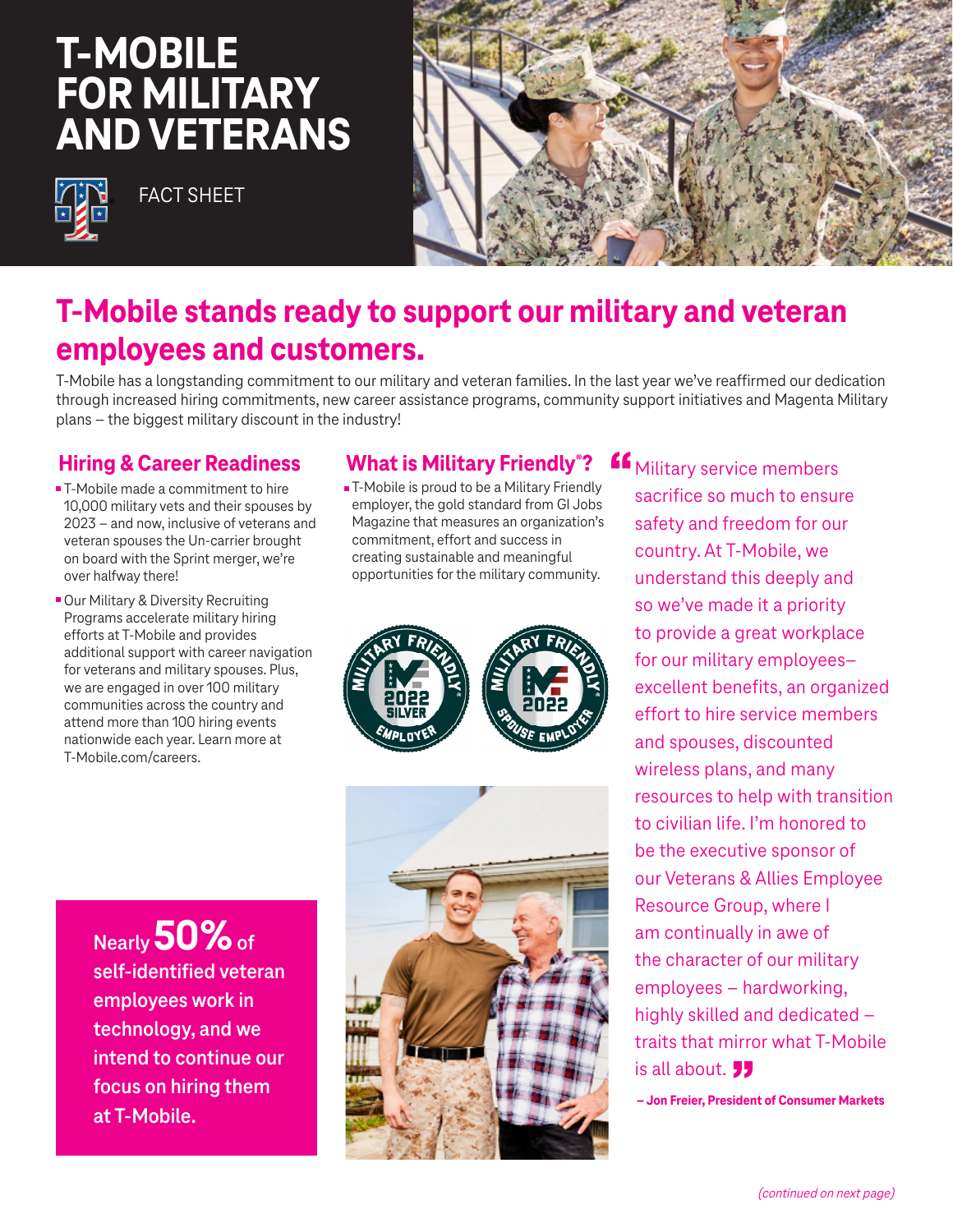# **T-MOBILE FOR MILITARY AND VETERANS**



FACT SHEET



## **T-Mobile stands ready to support our military and veteran employees and customers.**

T-Mobile has a longstanding commitment to our military and veteran families. In the last year we've reaffirmed our dedication through increased hiring commitments, new career assistance programs, community support initiatives and Magenta Military plans – the biggest military discount in the industry!

#### **Hiring & Career Readiness**

- T-Mobile made a commitment to hire 10,000 military vets and their spouses by 2023 – and now, inclusive of veterans and veteran spouses the Un-carrier brought on board with the Sprint merger, we're over halfway there!
- Our Military & Diversity Recruiting Programs accelerate military hiring efforts at T-Mobile and provides additional support with career navigation for veterans and military spouses. Plus, we are engaged in over 100 military communities across the country and attend more than 100 hiring events nationwide each year. Learn more at T-Mobile.com/careers.

#### **What is Military Friendly<sup>®</sup>?**

**T-Mobile is proud to be a Military Friendly** employer, the gold standard from GI Jobs Magazine that measures an organization's commitment, effort and success in creating sustainable and meaningful opportunities for the military community.





**K** Military service members sacrifice so much to ensure safety and freedom for our country. At T-Mobile, we understand this deeply and so we've made it a priority to provide a great workplace for our military employees– excellent benefits, an organized effort to hire service members and spouses, discounted wireless plans, and many resources to help with transition to civilian life. I'm honored to be the executive sponsor of our Veterans & Allies Employee Resource Group, where I am continually in awe of the character of our military employees – hardworking, highly skilled and dedicated – traits that mirror what T-Mobile is all about. **JJ** 

**– Jon Freier, President of Consumer Markets**

**Nearly 50% of self-identified veteran employees work in technology, and we intend to continue our focus on hiring them at T-Mobile.**